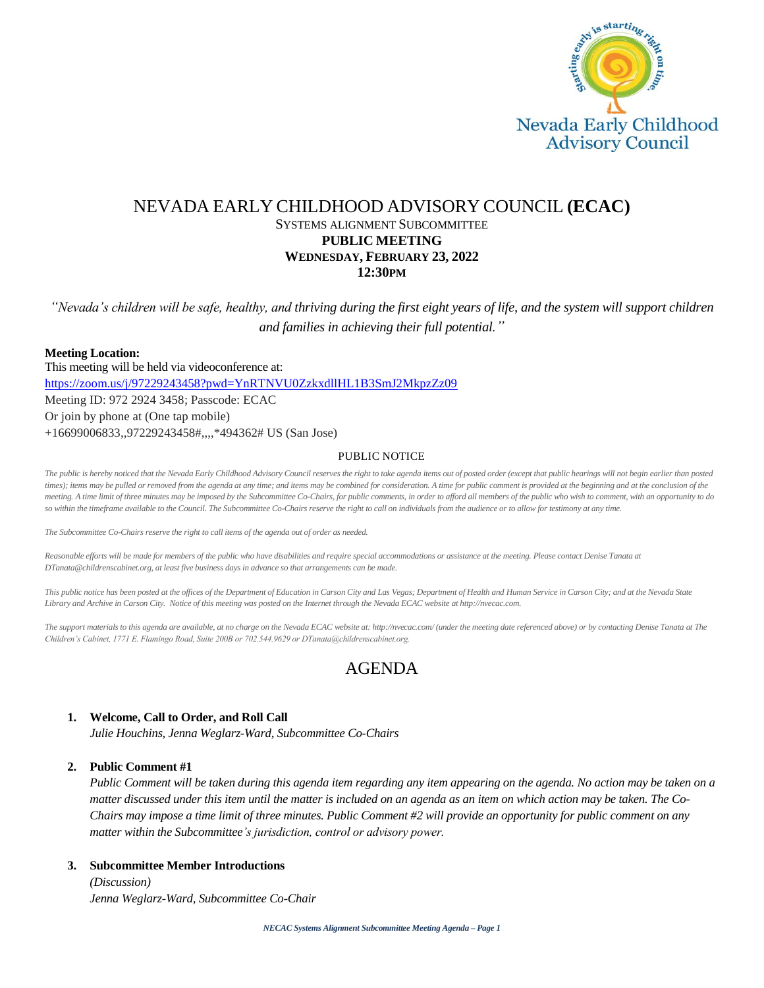

# NEVADA EARLY CHILDHOOD ADVISORY COUNCIL **(ECAC)** SYSTEMS ALIGNMENT SUBCOMMITTEE **PUBLIC MEETING WEDNESDAY, FEBRUARY 23, 2022 12:30PM**

*"Nevada's children will be safe, healthy, and thriving during the first eight years of life, and the system will support children and families in achieving their full potential."*

## **Meeting Location:**

This meeting will be held via videoconference at: <https://zoom.us/j/97229243458?pwd=YnRTNVU0ZzkxdllHL1B3SmJ2MkpzZz09> Meeting ID: 972 2924 3458; Passcode: ECAC Or join by phone at (One tap mobile) +16699006833,,97229243458#,,,,\*494362# US (San Jose)

### PUBLIC NOTICE

*The public is hereby noticed that the Nevada Early Childhood Advisory Council reserves the right to take agenda items out of posted order (except that public hearings will not begin earlier than posted times); items may be pulled or removed from the agenda at any time; and items may be combined for consideration. A time for public comment is provided at the beginning and at the conclusion of the meeting. A time limit of three minutes may be imposed by the Subcommittee Co-Chairs, for public comments, in order to afford all members of the public who wish to comment, with an opportunity to do*  so within the timeframe available to the Council. The Subcommittee Co-Chairs reserve the right to call on individuals from the audience or to allow for testimony at any time.

*The Subcommittee Co-Chairs reserve the right to call items of the agenda out of order as needed.*

Reasonable efforts will be made for members of the public who have disabilities and require special accommodations or assistance at the meeting. Please contact Denise Tanata at *DTanata@childrenscabinet.org, at least five business days in advance so that arrangements can be made.*

*This public notice has been posted at the offices of the Department of Education in Carson City and Las Vegas; Department of Health and Human Service in Carson City; and at the Nevada State Library and Archive in Carson City. Notice of this meeting was posted on the Internet through the Nevada ECAC website at http://nvecac.com.*

*The support materials to this agenda are available, at no charge on the Nevada ECAC website at: http://nvecac.com/ (under the meeting date referenced above) or by contacting Denise Tanata at The Children's Cabinet, 1771 E. Flamingo Road, Suite 200B or 702.544.9629 or DTanata@childrenscabinet.org.*

# AGENDA

### **1. Welcome, Call to Order, and Roll Call**

*Julie Houchins, Jenna Weglarz-Ward, Subcommittee Co-Chairs*

### **2. Public Comment #1**

*Public Comment will be taken during this agenda item regarding any item appearing on the agenda. No action may be taken on a matter discussed under this item until the matter is included on an agenda as an item on which action may be taken. The Co-Chairs may impose a time limit of three minutes. Public Comment #2 will provide an opportunity for public comment on any matter within the Subcommittee's jurisdiction, control or advisory power.*

#### **3. Subcommittee Member Introductions**

*(Discussion) Jenna Weglarz-Ward, Subcommittee Co-Chair*